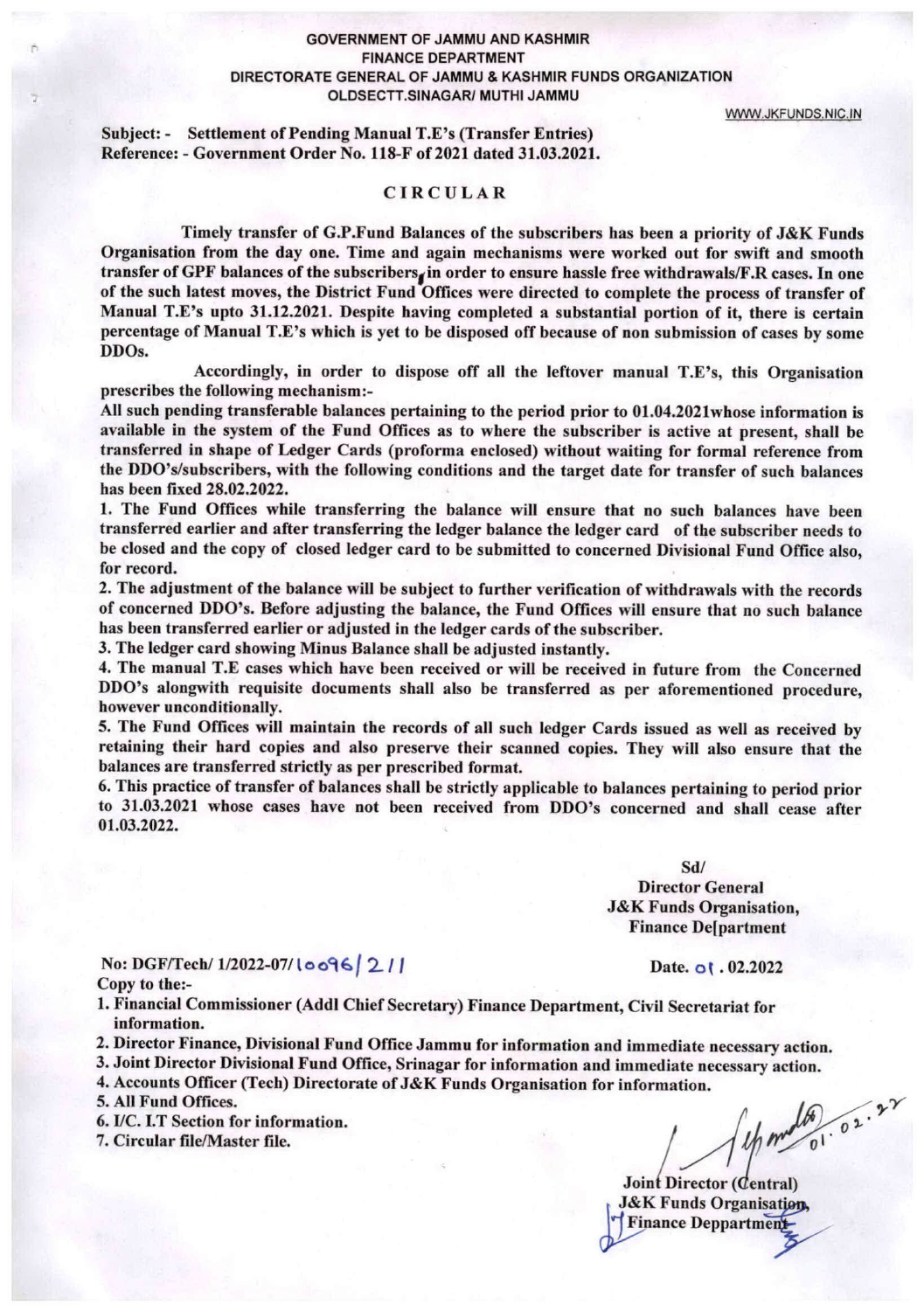#### GOVERNMENT OF JAMMU AND KASHMIR FINANCE DEPARTMENT DIRECTORATE GENERAL OF JAMMU & KASHMIR FUNDS ORGANIZATION OLDSECTT.SINAGAR/ MUTHI JAMMU

VWVW.JKFUNDS.NIC.IN

Subject: • Settlement of Pending Manual T.E's (Transfer Entries) Reference: - Government Order No. 118-F of 2021 dated 31.03.2021.

### CIRCULAR

Timely transfer of G.F.Fund Balances of the subscribers has been a priority of J&K Funds Organisation from the day one. Time and again mechanisms were worked out for swift and smooth transfer of GPF balances of the subscribers<sub>i</sub> in order to ensure hassle free withdrawals/F.R cases. In one of the such latest moves, the District Fund Offices were directed to complete the process of transfer of Manual T.E's upto 31.12.2021. Despite having completed a substantial portion of it, there is certain percentage of Manual T.E\*s which is yet to be disposed off because of non submission of cases by some DDOs.

Accordingly, in order to dispose off all the leftover manual  $T.E$ 's, this Organisation prescribes the following mechanism :-

All such pending transferable balances pertaining to the period prior to 01.04.2021whose information is available in the system of the Fund Offices as to where the subscriber is active at present, shall be transferred in shape of Ledger Cards (proforma enclosed) without waiting for formal reference from the DDO^s/subscribers, with the following conditions and the target date for transfer of such balances has been fixed 28.02,2022.

1. The Fund Offices while transferring the balance will ensure that no such balances have been transferred earlier and after transferring the ledger balance the ledger card of the subscriber needs to be closed and the copy of closed ledger card to be submitted to concerned Divisional Fund Office also, for record.

2. The adjustment of the balance will be subject to further verification of withdrawals with the records of concerned DDO's. Before adjusting the balance, the Fund Offices will ensure that no such balance has been transferred earlier or adjusted in the ledger cards of the subscriber.

3. The ledger card showing Minus Balance shall be adjusted instantly.

4. The manual T.E cases which have been received or will be received in future from the Concerned DDO's alongwith requisite documents shall also be transferred as per aforementioned procedure, however unconditionally.

5. The Fund Offices will maintain the records of all such ledger Cards issued as well as received by retaining their hard copies and also preserve their scanned copies. They will also ensure that the balances are transferred strictly as per prescribed format.

6. This practice of transfer of balances shall be strictly applicable to balances pertaining to period prior to 31.03.2021 whose cases have not been received from DDO's concerned and shall cease after 01.03.2022.

> Sd/ Director General J&K Funds Organisation, Finance De[partment

No: DGF/Tech/  $1/2022-07/10096/211$  Date, of . 02.2022 Copy to the:-

1. Financial Commissioner (Addl Chief Secretary) Finance Department, Civil Secretariat for information.

- 2. Director Finance, Divisional Fund Office Jammu for information and immediate necessary action.
- 3. Joint Director Divisional Fund Office, Srinagar for information and immediate necessary action.

4. Accounts Officer (Tech) Directorate of J&K Funds Organisation for information.

- 5. All Fund Offices.
- 6. I/C. I.T Section for information.<br>7. Circular file/Master file. /  $\int_{\mathcal{D}}$  /  $\int_{\mathcal{D}}$  /  $\int_{\mathcal{D}}$  /  $\int_{\mathcal{D}}$  /  $\int_{\mathcal{D}}$  /  $\int_{\mathcal{D}}$  /  $\int_{\mathcal{D}}$  /  $\int_{\mathcal{D}}$  /  $\int_{\mathcal{D}}$  /  $\int_{\mathcal{D}}$  /  $\int_{\mathcal{D}}$
- 7. Circular file/Master file.

Joint Director (Central) J&K Funds Organisation, Finance Deppartment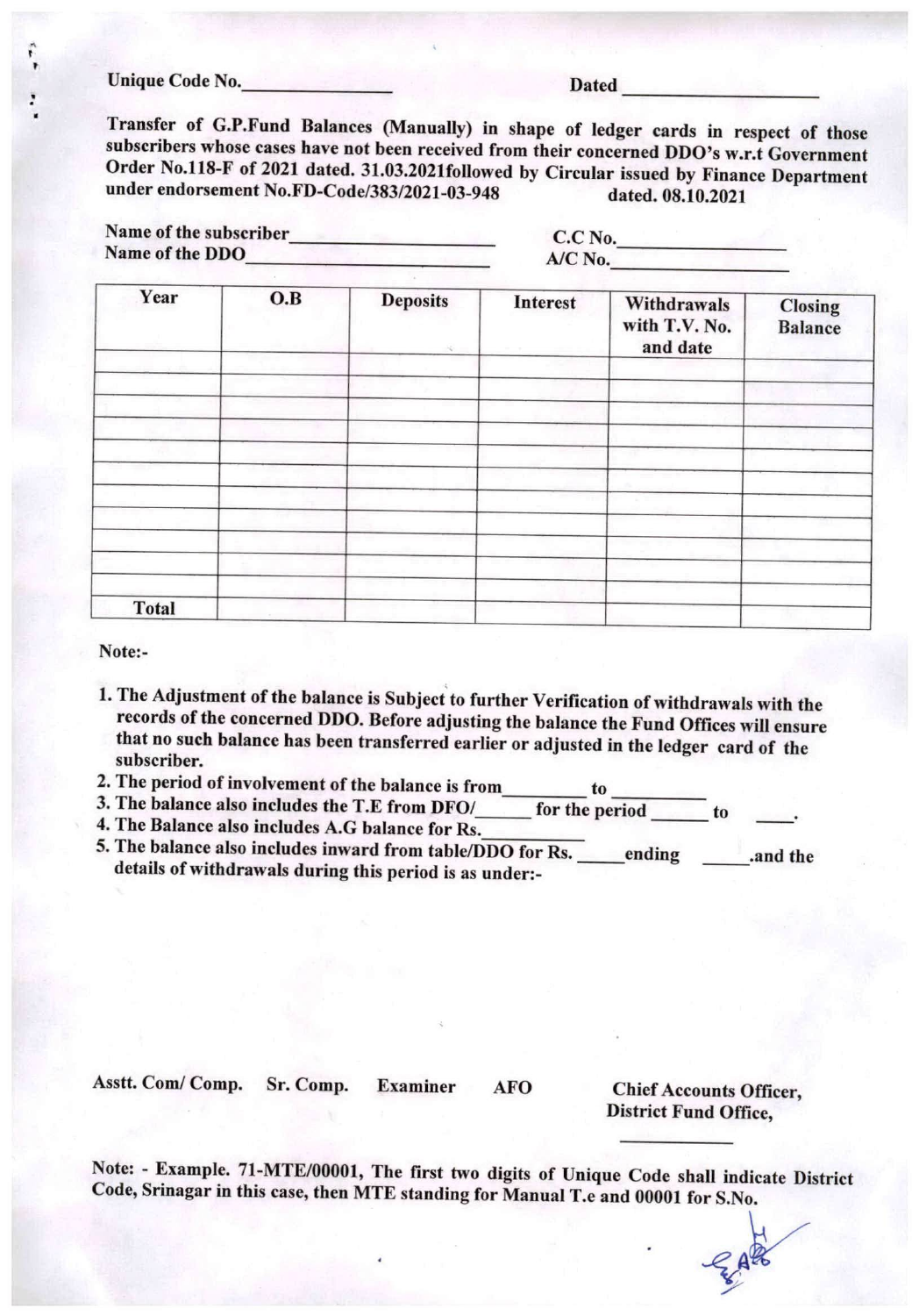Unique Code No. Dated

Transfer of G.P.Fund Balances (Manually) in shape of ledger cards in respect of those subscribers whose cases have not been received from their concerned DDO's w.r.t Government Order N0.II8-F of 2021 dated. 31.03.2021followed by Circular issued by Finance Department under endorsement No.FD-Code/383/2021-03-948 dated. 08.10.2021

|                 |  | Name of the subscriber |  |
|-----------------|--|------------------------|--|
| Name of the DDO |  |                        |  |

C.C No. A/C No.

| O.B | <b>Deposits</b><br>50 | Interest | Withdrawals<br>with T.V. No.<br>and date | <b>Closing</b><br><b>Balance</b> |
|-----|-----------------------|----------|------------------------------------------|----------------------------------|
|     |                       |          |                                          |                                  |
|     |                       |          |                                          |                                  |
|     |                       |          |                                          |                                  |
|     |                       |          |                                          |                                  |
|     |                       |          |                                          |                                  |
|     |                       |          |                                          |                                  |
|     |                       |          |                                          |                                  |
|     |                       |          |                                          |                                  |
|     |                       |          |                                          |                                  |
|     |                       |          |                                          |                                  |
|     |                       |          |                                          |                                  |
|     |                       |          |                                          |                                  |

Note:-

- 1. The Adjustment of the balance is Subject to further Verification of withdrawals with the records of the concerned DDO. Before adjusting the balance the Fund Offices will ensure that no such balance has been transferred earlier or adjusted in the ledger card of the subscriber.
- 2. The period of involvement of the balance is from to
- 3. The balance also includes the T.E from DFO/ for the period to
- 4. The Balance also includes A.G balance for Rs.
- 5. The balance also includes inward from table/DDO for Rs. ending .and the details of withdrawals during this period is as under:-

Asstt. Com/ Comp. Sr. Comp. Examiner AFO Chief Accounts Officer, District Fund Office,

Note: - Example. 71-MTE/OOOOl, The first two digits of Unique Code shall indicate District Code, Srinagar in this case, then MTE standing for Manual T.e and 00001 for S.No.